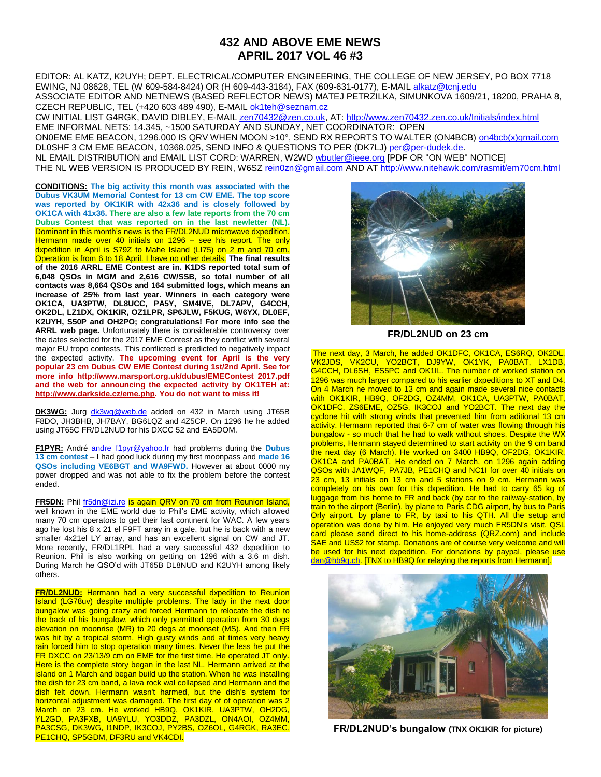## **432 AND ABOVE EME NEWS APRIL 2017 VOL 46 #3**

EDITOR: AL KATZ, K2UYH; DEPT. ELECTRICAL/COMPUTER ENGINEERING, THE COLLEGE OF NEW JERSEY, PO BOX 7718 EWING, NJ 08628, TEL (W 609-584-8424) OR (H 609-443-3184), FAX (609-631-0177), E-MAIL [alkatz@tcnj.edu](mailto:alkatz@tcnj.edu) ASSOCIATE EDITOR AND NETNEWS (BASED REFLECTOR NEWS) MATEJ PETRZILKA, SIMUNKOVA 1609/21, 18200, PRAHA 8, CZECH REPUBLIC, TEL (+420 603 489 490), E-MAIL [ok1teh@seznam.cz](mailto:ok1teh@seznam.cz)

CW INITIAL LIST G4RGK, DAVID DIBLEY, E-MAIL [zen70432@zen.co.uk,](mailto:zen70432@zen.co.uk) AT[: http://www.zen70432.zen.co.uk/Initials/index.html](http://www.zen70432.zen.co.uk/Initials/index.html) EME INFORMAL NETS: 14.345, ~1500 SATURDAY AND SUNDAY, NET COORDINATOR: OPEN ON0EME EME BEACON, 1296.000 IS QRV WHEN MOON >10°, SEND RX REPORTS TO WALTER (ON4BCB) [on4bcb\(x\)gmail.com](mailto:on4bcb@gmail.com)  DL0SHF 3 CM EME BEACON, 10368.025, SEND INFO & QUESTIONS TO PER (DK7LJ[\) per@per-dudek.de.](mailto:per@per-dudek.de) NL EMAIL DISTRIBUTION and EMAIL LIST CORD: WARREN, W2WD woutler@ieee.org [PDF OR "ON WEB" NOTICE] THE NL WEB VERSION IS PRODUCED BY REIN, W6SZ [rein0zn@gmail.com](mailto:rein0zn@gmail.com) AND A[T http://www.nitehawk.com/rasmit/em70cm.html](http://www.nitehawk.com/rasmit/em70cm.html)

**CONDITIONS: The big activity this month was associated with the Dubus VK3UM Memorial Contest for 13 cm CW EME. The top score was reported by OK1KIR with 42x36 and is closely followed by OK1CA with 41x36. There are also a few late reports from the 70 cm Dubus Contest that was reported on in the last newletter (NL).** Dominant in this month's news is the FR/DL2NUD microwave dxpedition. Hermann made over 40 initials on 1296 – see his report. The only dxpedition in April is S79Z to Mahe Island (LI75) on 2 m and 70 cm. Operation is from 6 to 18 April. I have no other details. **The final results of the 2016 ARRL EME Contest are in. K1DS reported total sum of 6,048 QSOs in MGM and 2,616 CW/SSB, so total number of all contacts was 8,664 QSOs and 164 submitted logs, which means an increase of 25% from last year. Winners in each category were OK1CA, UA3PTW, DL8UCC, PA5Y, SM4IVE, DL7APV, G4CCH, OK2DL, LZ1DX, OK1KIR, OZ1LPR, SP6JLW, F5KUG, W6YX, DL0EF, K2UYH, S50P and OH2PO; congratulations! For more info see the ARRL web page.** Unfortunately there is considerable controversy over the dates selected for the 2017 EME Contest as they conflict with several major EU tropo contests. This conflicted is predicted to negatively impact the expected activity. **The upcoming event for April is the very popular 23 cm Dubus CW EME Contest during 1st/2nd April. See for more info [http://www.marsport.org.uk/dubus/EMEContest 2017.pdf](http://www.marsport.org.uk/dubus/EMEContest%202017.pdf) and the web for announcing the expected activity by OK1TEH at: [http://www.darkside.cz/eme.php.](http://www.darkside.cz/eme.php) You do not want to miss it!** 

**DK3WG:** Jurg [dk3wg@web.de](mailto:dk3wg@web.de) added on 432 in March using JT65B F8DO, JH3BHB, JH7BAY, BG6LQZ and 4Z5CP. On 1296 he he added using JT65C FR/DL2NUD for his DXCC 52 and EA5DOM.

**F1PYR:** André [andre\\_f1pyr@yahoo.fr](mailto:andre_f1pyr@yahoo.fr) had problems during the **Dubus 13 cm contest** – I had good luck during my first moonpass and **made 16 QSOs including VE6BGT and WA9FWD.** However at about 0000 my power dropped and was not able to fix the problem before the contest ended.

**FR5DN:** Phil [fr5dn@izi.re](mailto:fr5dn@izi.re) is again QRV on 70 cm from Reunion Island, well known in the EME world due to Phil's EME activity, which allowed many 70 cm operators to get their last continent for WAC. A few years ago he lost his 8 x 21 el F9FT array in a gale, but he is back with a new smaller 4x21el LY array, and has an excellent signal on CW and JT. More recently, FR/DL1RPL had a very successful 432 dxpedition to Reunion. Phil is also working on getting on 1296 with a 3.6 m dish. During March he QSO'd with JT65B DL8NUD and K2UYH among likely others.

**FR/DL2NUD:** Hermann had a very successful dxpedition to Reunion Island (LG78uv) despite multiple problems. The lady in the next door bungalow was going crazy and forced Hermann to relocate the dish to the back of his bungalow, which only permitted operation from 30 degs elevation on moonrise (MR) to 20 degs at moonset (MS). And then FR was hit by a tropical storm. High gusty winds and at times very heavy rain forced him to stop operation many times. Never the less he put the FR DXCC on 23/13/9 cm on EME for the first time. He operated JT only. Here is the complete story began in the last NL. Hermann arrived at the island on 1 March and began build up the station. When he was installing the dish for 23 cm band, a lava rock wal collapsed and Hermann and the dish felt down. Hermann wasn't harmed, but the dish's system for horizontal adjustment was damaged. The first day of of operation was 2 March on 23 cm. He worked HB9Q, OK1KIR, UA3PTW, OH2DG, YL2GD, PA3FXB, UA9YLU, YO3DDZ, PA3DZL, ON4AOI, OZ4MM, PA3CSG, DK3WG, I1NDP, IK3COJ, PY2BS, OZ6OL, G4RGK, RA3EC, PE1CHQ, SP5GDM, DF3RU and VK4CDI.



**FR/DL2NUD on 23 cm**

The next day, 3 March, he added OK1DFC, OK1CA, ES6RQ, OK2DL, VK2JDS, VK2CU, YO2BCT, DJ9YW, OK1YK, PA0BAT, LX1DB, G4CCH, DL6SH, ES5PC and OK1IL. The number of worked station on 1296 was much larger compared to his earlier dxpeditions to XT and D4. On 4 March he moved to 13 cm and again made several nice contacts with OK1KIR, HB9Q, OF2DG, OZ4MM, OK1CA, UA3PTW, PA0BAT, OK1DFC, ZS6EME, OZ5G, IK3COJ and YO2BCT. The next day the cyclone hit with strong winds that prevented him from aditional 13 cm activity. Hermann reported that 6-7 cm of water was flowing through his bungalow - so much that he had to walk without shoes. Despite the WX problems, Hermann stayed determined to start activity on the 9 cm band the next day (6 March). He worked on 3400 HB9Q, OF2DG, OK1KIR, OK1CA and PA0BAT. He ended on 7 March, on 1296 again adding QSOs with JA1WQF, PA7JB, PE1CHQ and NC1I for over 40 initials on 23 cm, 13 initials on 13 cm and 5 stations on 9 cm. Hermann was completely on his own for this dxpedition. He had to carry 65 kg of luggage from his home to FR and back (by car to the railway-station, by train to the airport (Berlin), by plane to Paris CDG airport, by bus to Paris Orly airport, by plane to FR, by taxi to his QTH. All the setup and operation was done by him. He enjoyed very much FR5DN's visit. QSL card please send direct to his home-address (QRZ.com) and include SAE and US\$2 for stamp. Donations are of course very welcome and will be used for his next dxpedition. For donations by paypal, please use [dan@hb9q.ch.](mailto:dan@hb9q.ch) [TNX to HB9Q for relaying the reports from Hermann].



**FR/DL2NUD's bungalow (TNX OK1KIR for picture)**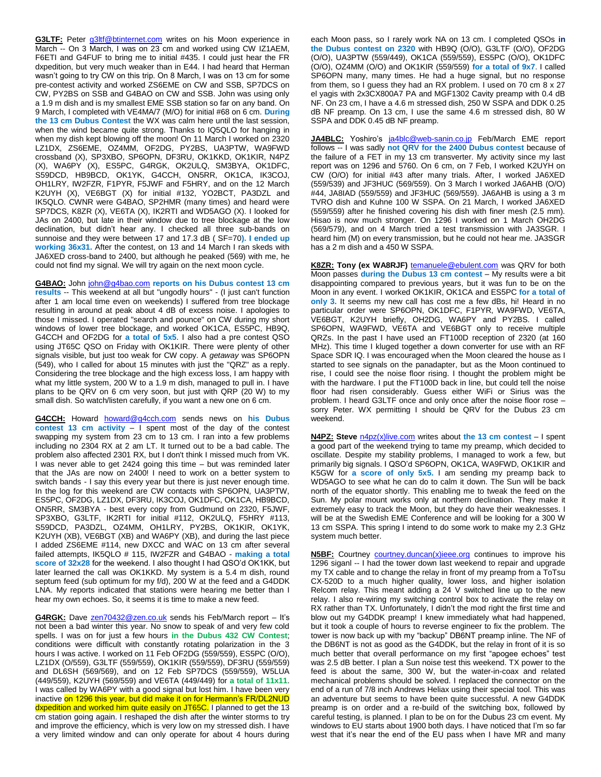**G3LTF:** Peter [g3ltf@btinternet.com](mailto:g3ltf@btinternet.com) writes on his Moon experience in March -- On 3 March, I was on 23 cm and worked using CW IZ1AEM, F6ETI and G4FUF to bring me to initial #435. I could just hear the FR dxpedition, but very much weaker than in E44. I had heard that Herman wasn't going to try CW on this trip. On 8 March, I was on 13 cm for some pre-contest activity and worked ZS6EME on CW and SSB, SP7DCS on CW, PY2BS on SSB and G4BAO on CW and SSB. John was using only a 1.9 m dish and is my smallest EME SSB station so far on any band. On 9 March, I completed with VE4MA/7 (M/O) for initial #68 on 6 cm. **During the 13 cm Dubus Contest** the WX was calm here until the last session, when the wind became quite strong. Thanks to IQ5QLO for hanging in when my dish kept blowing off the moon! On 11 March I worked on 2320 LZ1DX, ZS6EME, OZ4MM, OF2DG, PY2BS, UA3PTW, WA9FWD crossband (X), SP3XBO, SP6OPN, DF3RU, OK1KKD, OK1KIR, N4PZ (X), WA6PY (X), ES5PC, G4RGK, OK2ULQ, SM3BYA, OK1DFC, S59DCD, HB9BCD, OK1YK, G4CCH, ON5RR, OK1CA, IK3COJ, OH1LRY, IW2FZR, F1PYR, F5JWF and F5HRY, and on the 12 March K2UYH (X), VE6BGT (X) for initial #132, YO2BCT, PA3DZL and IK5QLO. CWNR were G4BAO, SP2HMR (many times) and heard were SP7DCS, K8ZR (X), VE6TA (X), IK2RTI and WD5AGO (X). I looked for JAs on 2400, but late in their window due to tree blockage at the low declination, but didn't hear any. I checked all three sub-bands on sunnoise and they were between 17 and 17.3 dB ( SF=70**). I ended up working 36x31.** After the contest, on 13 and 14 March I ran skeds with JA6XED cross-band to 2400, but although he peaked (569) with me, he could not find my signal. We will try again on the next moon cycle.

**G4BAO:** John [john@g4bao.com](mailto:john@g4bao.com) **reports on his Dubus contest 13 cm results** -- This weekend at all but "ungodly hours" - (I just can't function after 1 am local time even on weekends) I suffered from tree blockage resulting in around at peak about 4 dB of excess noise. I apologies to those I missed. I operated "search and pounce" on CW during my short windows of lower tree blockage, and worked OK1CA, ES5PC, HB9Q, G4CCH and OF2DG for **a total of 5x5**. I also had a pre contest QSO using JT65C QSO on Friday with OK1KIR. There were plenty of other signals visible, but just too weak for CW copy. A *getaway* was SP6OPN (549), who I called for about 15 minutes with just the "QRZ" as a reply. Considering the tree blockage and the high excess loss, I am happy with what my little system, 200 W to a 1.9 m dish, managed to pull in. I have plans to be QRV on 6 cm very soon, but just with QRP (20 W) to my small dish. So watch/listen carefully, if you want a new one on 6 cm.

**G4CCH:** Howard [howard@g4cch.com](mailto:howard@g4cch.com) sends news on **his Dubus contest 13 cm activity** – I spent most of the day of the contest swapping my system from 23 cm to 13 cm. I ran into a few problems including no 2304 RX at 2 am LT. It turned out to be a bad cable. The problem also affected 2301 RX, but I don't think I missed much from VK. I was never able to get 2424 going this time – but was reminded later that the JAs are now on 2400! I need to work on a better system to switch bands - I say this every year but there is just never enough time. In the log for this weekend are CW contacts with SP6OPN, UA3PTW, ES5PC, OF2DG, LZ1DX, DF3RU, IK3COJ, OK1DFC, OK1CA, HB9BCD, ON5RR, SM3BYA - best every copy from Gudmund on 2320, F5JWF, SP3XBO, G3LTF, IK2RTI for initial #112, OK2ULQ, F5HRY #113, S59DCD, PA3DZL, OZ4MM, OH1LRY, PY2BS, OK1KIR, OK1YK, K2UYH (XB), VE6BGT (XB) and WA6PY (XB), and during the last piece I added ZS6EME #114, new DXCC and WAC on 13 cm after several failed attempts, IK5QLO # 115, IW2FZR and G4BAO - **making a total score of 32x28** for the weekend. I also thought I had QSO'd OK1KK, but later learned the call was OK1KKD. My system is a 5.4 m dish, round septum feed (sub optimum for my f/d), 200 W at the feed and a G4DDK LNA. My reports indicated that stations were hearing me better than I hear my own echoes. So, it seems it is time to make a new feed.

G4RGK: Dave [zen70432@zen.co.uk](mailto:zen70432@zen.co.uk) sends his Feb/March report - It's not been a bad winter this year. No snow to speak of and very few cold spells. I was on for just a few hours **in the Dubus 432 CW Contest**; conditions were difficult with constantly rotating polarization in the 3 hours I was active. I worked on 11 Feb OF2DG (559/559), ES5PC (O/O), LZ1DX (O/559), G3LTF (559/559), OK1KIR (559/559), DF3RU (559/559) and DL6SH (569/569), and on 12 Feb SP7DCS (559/559), W5LUA (449/559), K2UYH (569/559) and VE6TA (449/449) for **a total of 11x11**. I was called by WA6PY with a good signal but lost him. I have been very inactive on 1296 this year, but did make it on for Hermann's FR/DL2NUD dxpedition and worked him quite easily on JT65C. I planned to get the 13 cm station going again. I reshaped the dish after the winter storms to try and improve the efficiency, which is very low on my stressed dish. I have a very limited window and can only operate for about 4 hours during

each Moon pass, so I rarely work NA on 13 cm. I completed QSOs **in the Dubus contest on 2320** with HB9Q (O/O), G3LTF (O/O), OF2DG (O/O), UA3PTW (559/449), OK1CA (559/559), ES5PC (O/O), OK1DFC (O/O), OZ4MM (O/O) and OK1KIR (559/559) **for a total of 9x7**. I called SP6OPN many, many times. He had a huge signal, but no response from them, so I guess they had an RX problem. I used on 70 cm 8 x 27 el yagis with 2x3CX800A7 PA and MGF1302 Cavity preamp with 0.4 dB NF. On 23 cm, I have a 4.6 m stressed dish, 250 W SSPA and DDK 0.25 dB NF preamp. On 13 cm, I use the same 4.6 m stressed dish, 80 W SSPA and DDK 0.45 dB NF preamp.

JA4BLC: Yoshiro's [ja4blc@web-sanin.co.jp](mailto:ja4blc@web-sanin.co.jp) Feb/March EME report follows -- I was sadly **not QRV for the 2400 Dubus contest** because of the failure of a FET in my 13 cm transverter. My activity since my last report was on 1296 and 5760. On 6 cm, on 7 Feb, I worked K2UYH on CW (O/O) for initial #43 after many trials. After, I worked JA6XED (559/539) and JF3HUC (569/559). On 3 March I worked JA6AHB (O/O) #44, JA8IAD (559/559) and JF3HUC (569/559). JA6AHB is using a 3 m TVRO dish and Kuhne 100 W SSPA. On 21 March, I worked JA6XED (559/559) after he finished covering his dish with finer mesh (2.5 mm). Hisao is now much stronger. On 1296 I worked on 1 March OH2DG (569/579), and on 4 March tried a test transmission with JA3SGR. I heard him (M) on every transmission, but he could not hear me. JA3SGR has a 2 m dish and a 450 W SSPA.

**K8ZR: Tony (ex WA8RJF)** [temanuele@ebulent.com](mailto:temanuele@ebulent.com) was QRV for both Moon passes **during the Dubus 13 cm contest** – My results were a bit disappointing compared to previous years, but it was fun to be on the Moon in any event. I worked OK1KIR, OK1CA and ES5PC **for a total of only 3.** It seems my new call has cost me a few dBs, hi! Heard in no particular order were SP6OPN, OK1DFC, F1PYR, WA9FWD, VE6TA, VE6BGT, K2UYH briefly, OH2DG, WA6PY and PY2BS. I called SP6OPN, WA9FWD, VE6TA and VE6BGT only to receive multiple QRZs. In the past I have used an FT100D reception of 2320 (at 160 MHz). This time I kluged together a down converter for use with an RF Space SDR IQ. I was encouraged when the Moon cleared the house as I started to see signals on the panadapter, but as the Moon continued to rise, I could see the noise floor rising. I thought the problem might be with the hardware. I put the FT100D back in line, but could tell the noise floor had risen considerably. Guess either WiFi or Sirius was the problem. I heard G3LTF once and only once after the noise floor rose – sorry Peter. WX permitting I should be QRV for the Dubus 23 cm weekend.

**N4PZ: Steve** [n4pz\(x\)live.com](mailto:n4pz(x)live.com) writes about **the 13 cm contest** – I spent a good part of the weekend trying to tame my preamp, which decided to oscillate. Despite my stability problems, I managed to work a few, but primarily big signals. I QSO'd SP6OPN, OK1CA, WA9FWD, OK1KIR and K5GW for **a score of only 5x5.** I am sending my preamp back to WD5AGO to see what he can do to calm it down. The Sun will be back north of the equator shortly. This enabling me to tweak the feed on the Sun. My polar mount works only at northern declination. They make it extremely easy to track the Moon, but they do have their weaknesses. I will be at the Swedish EME Conference and will be looking for a 300 W 13 cm SSPA. This spring I intend to do some work to make my 2.3 GHz system much better.

**N5BF:** Courtney [courtney.duncan\(x\)ieee.org](mailto:courtney.duncan(x)ieee.org) continues to improve his 1296 siganl -- I had the tower down last weekend to repair and upgrade my TX cable and to change the relay in front of my preamp from a ToTsu CX-520D to a much higher quality, lower loss, and higher isolation Relcom relay. This meant adding a 24 V switched line up to the new relay. I also re-wiring my switching control box to activate the relay on RX rather than TX. Unfortunately, I didn't the mod right the first time and blow out my G4DDK preamp! I knew immediately what had happened, but it took a couple of hours to reverse engineer to fix the problem. The tower is now back up with my "backup" DB6NT preamp inline. The NF of the DB6NT is not as good as the G4DDK, but the relay in front of it is so much better that overall performance on my first "apogee echoes" test was 2.5 dB better. I plan a Sun noise test this weekend. TX power to the feed is about the same, 300 W, but the water-in-coax and related mechanical problems should be solved. I replaced the connector on the end of a run of 7/8 inch Andrews Heliax using their special tool. This was an adventure but seems to have been quite successful. A new G4DDK preamp is on order and a re-build of the switching box, followed by careful testing, is planned. I plan to be on for the Dubus 23 cm event. My windows to EU starts about 1900 both days. I have noticed that I'm so far west that it's near the end of the EU pass when I have MR and many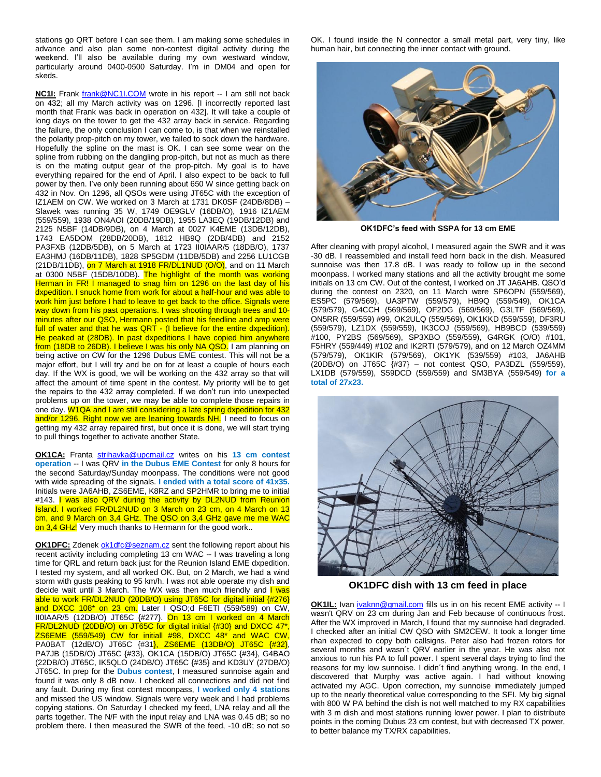stations go QRT before I can see them. I am making some schedules in advance and also plan some non-contest digital activity during the weekend. I'll also be available during my own westward window, particularly around 0400-0500 Saturday. I'm in DM04 and open for skeds.

**NC1I:** Frank [frank@NC1I.COM](mailto:frank@NC1I.COM) wrote in his report -- I am still not back on 432; all my March activity was on 1296. [I incorrectly reported last month that Frank was back in operation on 432]. It will take a couple of long days on the tower to get the 432 array back in service. Regarding the failure, the only conclusion I can come to, is that when we reinstalled the polarity prop-pitch on my tower, we failed to sock down the hardware. Hopefully the spline on the mast is OK. I can see some wear on the spline from rubbing on the dangling prop-pitch, but not as much as there is on the mating output gear of the prop-pitch. My goal is to have everything repaired for the end of April. I also expect to be back to full power by then. I've only been running about 650 W since getting back on 432 in Nov. On 1296, all QSOs were using JT65C with the exception of IZ1AEM on CW. We worked on 3 March at 1731 DK0SF (24DB/8DB) – Slawek was running 35 W, 1749 OE9GLV (16DB/O), 1916 IZ1AEM (559/559), 1938 ON4AOI (20DB/19DB), 1955 LA3EQ (19DB/12DB) and 2125 N5BF (14DB/9DB), on 4 March at 0027 K4EME (13DB/12DB), 1743 EA5DOM (28DB/20DB), 1812 HB9Q (2DB/4DB) and 2152 PA3FXB (12DB/5DB), on 5 March at 1723 II0IAAR/5 (18DB/O), 1737 EA3HMJ (16DB/11DB), 1828 SP5GDM (11DB/5DB) and 2256 LU1CGB  $(21DB/11DB)$ , on 7 March at 1918 FR/DL1NUD  $(O/O)$ , and on 11 March at 0300 N5BF (15DB/10DB). The highlight of the month was working Herman in FR! I managed to snag him on 1296 on the last day of his dxpedition. I snuck home from work for about a half-hour and was able to work him just before I had to leave to get back to the office. Signals were way down from his past operations. I was shooting through trees and 10minutes after our QSO, Hermann posted that his feedline and amp were full of water and that he was QRT - (I believe for the entire dxpedition). He peaked at (28DB). In past dxpeditions I have copied him anywhere from (18DB to 26DB). I believe I was his only NA QSO. I am planning on being active on CW for the 1296 Dubus EME contest. This will not be a major effort, but I will try and be on for at least a couple of hours each day. If the WX is good, we will be working on the 432 array so that will affect the amount of time spent in the contest. My priority will be to get the repairs to the 432 array completed. If we don't run into unexpected problems up on the tower, we may be able to complete those repairs in one day. W1QA and I are still considering a late spring dxpedition for 432 and/or 1296. Right now we are leaning towards NH. I need to focus on getting my 432 array repaired first, but once it is done, we will start trying to pull things together to activate another State.

**OK1CA:** Franta [strihavka@upcmail.cz](mailto:strihavka@upcmail.cz) writes on his **13 cm contest operation** -- I was QRV in the Dubus **EME** Contest for only 8 hours for the second Saturday/Sunday moonpass. The conditions were not good with wide spreading of the signals. **I ended with a total score of 41x35.** Initials were JA6AHB, ZS6EME, K8RZ and SP2HMR to bring me to initial #143. I was also QRV during the activity by DL2NUD from Reunion Island. I worked FR/DL2NUD on 3 March on 23 cm, on 4 March on 13 cm, and 9 March on 3,4 GHz. The QSO on 3,4 GHz gave me me WAC on 3,4 GHz! Very much thanks to Hermann for the good work..

**OK1DFC:** Zdenek [ok1dfc@seznam.cz](mailto:ok1dfc@seznam.cz) sent the following report about his recent activity including completing 13 cm WAC -- I was traveling a long time for QRL and return back just for the Reunion Island EME dxpedition. I tested my system, and all worked OK. But, on 2 March, we had a wind storm with gusts peaking to 95 km/h. I was not able operate my dish and decide wait until 3 March. The WX was then much friendly and I was able to work FR/DL2NUD (20DB/O) using JT65C for digital initial {#276} and DXCC 108<sup>\*</sup> on 23 cm. Later I QSO;d F6ETI (559/589) on CW, II0IAAR/5 (12DB/O) JT65C {#277}. On 13 cm I worked on 4 March FR/DL2NUD (20DB/O) on JT65C for digital initial {#30} and DXCC 47\*  $ZS6EME$  (559/549) CW for initiall #98, DXCC 48<sup>\*</sup> and WAC CW, PA0BAT (12dB/O) JT65C {#31}, ZS6EME (13DB/O) JT65C {#32}, PA7JB (15DB/O) JT65C {#33}, OK1CA (15DB/O) JT65C {#34}, G4BAO (22DB/O) JT65C, IK5QLO (24DB/O) JT65C {#35} and KD3UY (27DB/O) JT65C. In prep for the **Dubus contest**, I measured sunnoise again and found it was only 8 dB now. I checked all connections and did not find any fault. During my first contest moonpass, **I worked only 4 statio**ns and missed the US window. Signals were very week and I had problems copying stations. On Saturday I checked my feed, LNA relay and all the parts together. The N/F with the input relay and LNA was 0.45 dB; so no problem there. I then measured the SWR of the feed, -10 dB; so not so

OK. I found inside the N connector a small metal part, very tiny, like human hair, but connecting the inner contact with ground.



**OK1DFC's feed with SSPA for 13 cm EME**

After cleaning with propyl alcohol, I measured again the SWR and it was -30 dB. I reassembled and install feed horn back in the dish. Measured sunnoise was then 17.8 dB. I was ready to follow up in the second moonpass. I worked many stations and all the activity brought me some initials on 13 cm CW. Out of the contest, I worked on JT JA6AHB. QSO'd during the contest on 2320, on 11 March were SP6OPN (559/569), ES5PC (579/569), UA3PTW (559/579), HB9Q (559/549), OK1CA (579/579), G4CCH (569/569), OF2DG (569/569), G3LTF (569/569), ON5RR (559/559) #99, OK2ULQ (559/569), OK1KKD (559/559), DF3RU (559/579), LZ1DX (559/559), IK3COJ (559/569), HB9BCD (539/559) #100, PY2BS (569/569), SP3XBO (559/559), G4RGK (O/O) #101, F5HRY (559/449) #102 and IK2RTI (579/579), and on 12 March OZ4MM (579/579), OK1KIR (579/569), OK1YK (539/559) #103, JA6AHB (20DB/O) on JT65C {#37} – not contest QSO, PA3DZL (559/559), LX1DB (579/559), S59DCD (559/559) and SM3BYA (559/549) **for a total of 27x23.**



**OK1DFC dish with 13 cm feed in place**

**OK1IL:** Ivan *[ivaknn@gmail.com](mailto:ivaknn@gmail.com)* fills us in on his recent EME activity -- I wasn't QRV on 23 cm during Jan and Feb because of continuous frost. After the WX improved in March, I found that my sunnoise had degraded. I checked after an initial CW QSO with SM2CEW. It took a longer time rhan expected to copy both callsigns. Peter also had frozen rotors for several months and wasn´t QRV earlier in the year. He was also not anxious to run his PA to full power. I spent several days trying to find the reasons for my low sunnoise. I didn´t find anything wrong. In the end, I discovered that Murphy was active again. I had without knowing activated my AGC. Upon correction, my sunnoise immediately jumped up to the nearly theoretical value corresponding to the SFI. My big signal with 800 W PA behind the dish is not well matched to my RX capabilities with 3 m dish and most stations running lower power. I plan to distribute points in the coming Dubus 23 cm contest, but with decreased TX power, to better balance my TX/RX capabilities.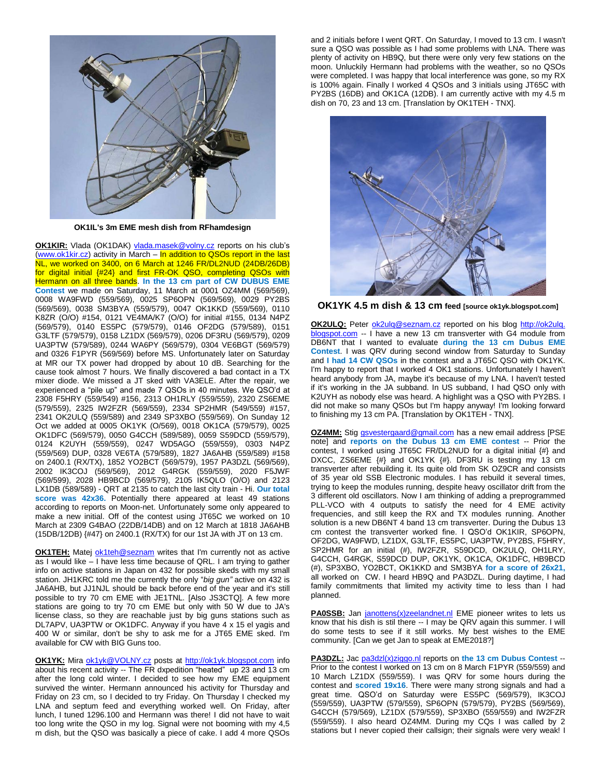

**OK1IL's 3m EME mesh dish from RFhamdesign**

**OK1KIR:** Vlada (OK1DAK) [vlada.masek@volny.cz](mailto:vlada.masek@volny.cz) reports on his club's [\(www.ok1kir.cz\)](http://www.ok1kir.cz/) activity in March – In addition to QSOs report in the last NL, we worked on 3400, on 6 March at 1246 FR/DL2NUD (24DB/26DB) for digital initial {#24} and first FR-OK QSO, completing QSOs with Hermann on all three bands. **In the 13 cm part of CW DUBUS EME Contest** we made on Saturday, 11 March at 0001 OZ4MM (569/569), 0008 WA9FWD (559/569), 0025 SP6OPN (569/569), 0029 PY2BS (569/569), 0038 SM3BYA (559/579), 0047 OK1KKD (559/569), 0110 K8ZR (O/O) #154, 0121 VE4MA/K7 (O/O) for initial #155, 0134 N4PZ (569/579), 0140 ES5PC (579/579), 0146 OF2DG (579/589), 0151 G3LTF (579/579), 0158 LZ1DX (569/579), 0206 DF3RU (569/579), 0209 UA3PTW (579/589), 0244 WA6PY (569/579), 0304 VE6BGT (569/579) and 0326 F1PYR (569/569) before MS. Unfortunately later on Saturday at MR our TX power had dropped by about 10 dB. Searching for the cause took almost 7 hours. We finally discovered a bad contact in a TX mixer diode. We missed a JT sked with VA3ELE. After the repair, we experienced a "pile up" and made 7 QSOs in 40 minutes. We QSO'd at 2308 F5HRY (559/549) #156, 2313 OH1RLY (559/559), 2320 ZS6EME (579/559), 2325 IW2FZR (569/559), 2334 SP2HMR (549/559) #157, 2341 OK2ULQ (559/589) and 2349 SP3XBO (559/569). On Sunday 12 Oct we added at 0005 OK1YK (O/569), 0018 OK1CA (579/579), 0025 OK1DFC (569/579), 0050 G4CCH (589/589), 0059 S59DCD (559/579), 0124 K2UYH (559/559), 0247 WD5AGO (559/559), 0303 N4PZ (559/569) DUP, 0328 VE6TA (579/589), 1827 JA6AHB (559/589) #158 on 2400.1 (RX/TX), 1852 YO2BCT (569/579), 1957 PA3DZL (569/569), 2002 IK3COJ (569/569), 2012 G4RGK (559/559), 2020 F5JWF (569/599), 2028 HB9BCD (569/579), 2105 IK5QLO (O/O) and 2123 LX1DB (589/589) - QRT at 2135 to catch the last city train - Hi. **Our total score was 42x36.** Potentially there appeared at least 49 stations according to reports on Moon-net. Unfortunately some only appeared to make a new initial. Off of the contest using JT65C we worked on 10 March at 2309 G4BAO (22DB/14DB) and on 12 March at 1818 JA6AHB (15DB/12DB) {#47} on 2400.1 (RX/TX) for our 1st JA with JT on 13 cm.

**OK1TEH:** Matej [ok1teh@seznam](mailto:ok1teh(x)seznam) writes that I'm currently not as active as I would like – I have less time because of QRL. I am trying to gather info on active stations in Japan on 432 for possible skeds with my small station. JH1KRC told me the currently the only "*big gun"* active on 432 is JA6AHB, but JJ1NJL should be back before end of the year and it's still possible to try 70 cm EME with JE1TNL. [Also JS3CTQ]. A few more stations are going to try 70 cm EME but only with 50 W due to JA's license class, so they are reachable just by big guns stations such as DL7APV, UA3PTW or OK1DFC. Anyway if you have 4 x 15 el yagis and 400 W or similar, don't be shy to ask me for a JT65 EME sked. I'm available for CW with BIG Guns too.

**OK1YK:** Mira [ok1yk@VOLNY.cz](mailto:ok1yk@VOLNY.cz) posts at [http://ok1yk.blogspot.com](http://ok1yk.blogspot.com/) info about his recent activity -- The FR dxpedition "heated" up 23 and 13 cm after the long cold winter. I decided to see how my EME equipment survived the winter. Hermann announced his activity for Thursday and Friday on 23 cm, so I decided to try Friday. On Thursday I checked my LNA and septum feed and everything worked well. On Friday, after lunch, I tuned 1296.100 and Hermann was there! I did not have to wait too long write the QSO in my log. Signal were not booming with my 4,5 m dish, but the QSO was basically a piece of cake. I add 4 more QSOs and 2 initials before I went QRT. On Saturday, I moved to 13 cm. I wasn't sure a QSO was possible as I had some problems with LNA. There was plenty of activity on HB9Q, but there were only very few stations on the moon. Unluckily Hermann had problems with the weather, so no QSOs were completed. I was happy that local interference was gone, so my RX is 100% again. Finally I worked 4 QSOs and 3 initials using JT65C with PY2BS (16DB) and OK1CA (12DB). I am currently active with my 4.5 m dish on 70, 23 and 13 cm. [Translation by OK1TEH - TNX].



**OK1YK 4.5 m dish & 13 cm feed [source ok1yk.blogspot.com]**

**OK2ULQ:** Peter [ok2ulq@seznam.cz](mailto:ok2ulq@seznam.cz) reported on his blog http://ok2ulq. blogspot.com -- I have a new 13 cm transverter with G4 module from DB6NT that I wanted to evaluate **during the 13 cm Dubus EME Contest**. I was QRV during second window from Saturday to Sunday and **I had 14 CW QSOs** in the contest and a JT65C QSO with OK1YK. I'm happy to report that I worked 4 OK1 stations. Unfortunately I haven't heard anybody from JA, maybe it's because of my LNA. I haven't tested if it's working in the JA subband. In US subband, I had QSO only with K2UYH as nobody else was heard. A highlight was a QSO with PY2BS. I did not make so many QSOs but I'm happy anyway! I'm looking forward to finishing my 13 cm PA. [Translation by OK1TEH - TNX].

**OZ4MM:** Stig [gsvestergaard@gmail.com](mailto:gsvestergaard@gmail.com) has a new email address [PSE note] and **reports on the Dubus 13 cm EME contest** -- Prior the contest, I worked using JT65C FR/DL2NUD for a digital initial {#} and DXCC, ZS6EME {#} and OK1YK {#}. DF3RU is testing my 13 cm transverter after rebuilding it. Its quite old from SK OZ9CR and consists of 35 year old SSB Electronic modules. I has rebuild it several times, trying to keep the modules running, despite heavy oscillator drift from the 3 different old oscillators. Now I am thinking of adding a preprogrammed PLL-VCO with 4 outputs to satisfy the need for 4 EME activity frequencies, and still keep the RX and TX modules running. Another solution is a new DB6NT 4 band 13 cm transverter. During the Dubus 13 cm contest the transverter worked fine. I QSO'd OK1KIR, SP6OPN, OF2DG, WA9FWD, LZ1DX, G3LTF, ES5PC, UA3PTW, PY2BS, F5HRY, SP2HMR for an initial (#), IW2FZR, S59DCD, OK2ULQ, OH1LRY, G4CCH, G4RGK, S59DCD DUP, OK1YK, OK1CA, OK1DFC, HB9BCD (#), SP3XBO, YO2BCT, OK1KKD and SM3BYA **for a score of 26x21,** all worked on CW. I heard HB9Q and PA3DZL. During daytime, I had family commitments that limited my activity time to less than I had planned.

PA0SSB: Jan [janottens\(x\)zeelandnet.nl](mailto:janottens(x)zeelandnet.nl) EME pioneer writes to lets us know that his dish is stil there -- I may be QRV again this summer. I will do some tests to see if it still works. My best wishes to the EME community. [Can we get Jan to speak at EME2018?]

**PA3DZL:** Jac [pa3dzl\(x\)ziggo.nl](mailto:pa3dzl(x)ziggo.nl) reports on **the 13 cm Dubus Contest** -- Prior to the contest I worked on 13 cm on 8 March F1PYR (559/559) and 10 March LZ1DX (559/559). I was QRV for some hours during the contest and **scored 19x16**. There were many strong signals and had a great time. QSO'd on Saturday were ES5PC (569/579), IK3COJ (559/559), UA3PTW (579/559), SP6OPN (579/579), PY2BS (569/569), G4CCH (579/569), LZ1DX (579/559), SP3XBO (559/559) and IW2FZR (559/559). I also heard OZ4MM. During my CQs I was called by 2 stations but I never copied their callsign; their signals were very weak! I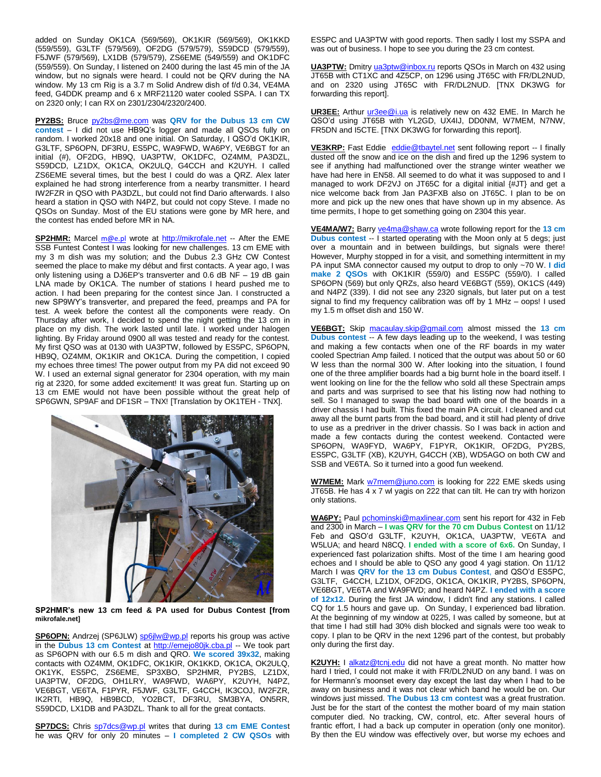added on Sunday OK1CA (569/569), OK1KIR (569/569), OK1KKD (559/559), G3LTF (579/569), OF2DG (579/579), S59DCD (579/559), F5JWF (579/569), LX1DB (579/579), ZS6EME (549/559) and OK1DFC (559/559). On Sunday, I listened on 2400 during the last 45 min of the JA window, but no signals were heard. I could not be QRV during the NA window. My 13 cm Rig is a 3.7 m Solid Andrew dish of f/d 0.34, VE4MA feed, G4DDK preamp and 6 x MRF21120 water cooled SSPA. I can TX on 2320 only; I can RX on 2301/2304/2320/2400.

**PY2BS:** Bruce [py2bs@me.com](mailto:py2bs(x)me.com) was **QRV for the Dubus 13 cm CW contest** – I did not use HB9Q's logger and made all QSOs fully on random. I worked 20x18 and one initial. On Saturday, I QSO'd OK1KIR, G3LTF, SP6OPN, DF3RU, ES5PC, WA9FWD, WA6PY, VE6BGT for an initial (#), OF2DG, HB9Q, UA3PTW, OK1DFC, OZ4MM, PA3DZL, S59DCD, LZ1DX, OK1CA, OK2ULQ, G4CCH and K2UYH. I called ZS6EME several times, but the best I could do was a QRZ. Alex later explained he had strong interference from a nearby transmitter. I heard IW2FZR in QSO with PA3DZL, but could not find Dario afterwards. I also heard a station in QSO with N4PZ, but could not copy Steve. I made no QSOs on Sunday. Most of the EU stations were gone by MR here, and the contest has ended before MR in NA.

SP2HMR: Marcel [m@e.pl](mailto:m@e.pl) wrote at [http://mikrofale.net](http://mikrofale.net/archiwum.html) -- After the EME SSB Funtest Contest I was looking for new challenges. 13 cm EME with my 3 m dish was my solution; and the Dubus 2.3 GHz CW Contest seemed the place to make my début and first contacts. A year ago, I was only listening using a DJ6EP's transverter and 0.6 dB NF – 19 dB gain LNA made by OK1CA. The number of stations I heard pushed me to action. I had been preparing for the contest since Jan. I constructed a new SP9WY's transverter, and prepared the feed, preamps and PA for test. A week before the contest all the components were ready. On Thursday after work, I decided to spend the night getting the 13 cm in place on my dish. The work lasted until late. I worked under halogen lighting. By Friday around 0900 all was tested and ready for the contest. My first QSO was at 0130 with UA3PTW, followed by ES5PC, SP6OPN, HB9Q, OZ4MM, OK1KIR and OK1CA. During the competition, I copied my echoes three times! The power output from my PA did not exceed 90 W. I used an external signal generator for 2304 operation, with my main rig at 2320, for some added excitement! It was great fun. Starting up on 13 cm EME would not have been possible without the great help of SP6GWN, SP9AF and DF1SR – TNX! [Translation by OK1TEH - TNX].



**SP2HMR's new 13 cm feed & PA used for Dubus Contest [from mikrofale.net]**

SP6OPN: Andrzej (SP6JLW) [sp6jlw@wp.pl](mailto:sp6jlw@wp.pl) reports his group was active in the **Dubus 13 cm Contest** at [http://emejo80jk.cba.pl](http://emejo80jk.cba.pl/) -- We took part as SP6OPN with our 6.5 m dish and QRO. **We scored 39x32**, making contacts with OZ4MM, OK1DFC, OK1KIR, OK1KKD, OK1CA, OK2ULQ, OK1YK, ES5PC, ZS6EME, SP3XBO, SP2HMR, PY2BS, LZ1DX, UA3PTW, OF2DG, OH1LRY, WA9FWD, WA6PY, K2UYH, N4PZ, VE6BGT, VE6TA, F1PYR, F5JWF, G3LTF, G4CCH, IK3COJ, IW2FZR, IK2RTI, HB9Q, HB9BCD, YO2BCT, DF3RU, SM3BYA, ON5RR, S59DCD, LX1DB and PA3DZL. Thank to all for the great contacts.

**SP7DCS:** Chris [sp7dcs@wp.pl](mailto:sp7dcs@wp.pl) writes that during **13 cm EME Contes**t he was QRV for only 20 minutes – **I completed 2 CW QSOs** with

ES5PC and UA3PTW with good reports. Then sadly I lost my SSPA and was out of business. I hope to see you during the 23 cm contest.

**UA3PTW:** Dmitry [ua3ptw@inbox.ru](mailto:ua3ptw@inbox.ru) reports QSOs in March on 432 using JT65B with CT1XC and 4Z5CP, on 1296 using JT65C with FR/DL2NUD, and on 2320 using JT65C with FR/DL2NUD. [TNX DK3WG for forwarding this report].

**UR3EE:** Arthur [ur3ee@i.ua](mailto:ur3ee@i.ua) is relatively new on 432 EME. In March he QSO'd using JT65B with YL2GD, UX4IJ, DD0NM, W7MEM, N7NW, FR5DN and I5CTE. [TNX DK3WG for forwarding this report].

**VE3KRP:** Fast Eddie [eddie@tbaytel.net](mailto:eddie@tbaytel.net) sent following report -- I finally dusted off the snow and ice on the dish and fired up the 1296 system to see if anything had malfunctioned over the strange winter weather we have had here in EN58. All seemed to do what it was supposed to and I managed to work DF2VJ on JT65C for a digital initial  $\frac{1}{4}$ JT} and get a nice welcome back from Jan PA3FXB also on JT65C. I plan to be on more and pick up the new ones that have shown up in my absence. As time permits, I hope to get something going on 2304 this year.

**VE4MA/W7:** Barry [ve4ma@shaw.ca](mailto:ve4ma@shaw.ca) wrote following report for the **13 cm Dubus contest** -- I started operating with the Moon only at 5 degs; just over a mountain and in between buildings, but signals were there! However, Murphy stopped in for a visit, and something intermittent in my PA input SMA connector caused my output to drop to only ~70 W. **I did make 2 QSOs** with OK1KIR (559/0) and ES5PC (559/0). I called SP6OPN (569) but only QRZs, also heard VE6BGT (559), OK1CS (449) and N4PZ (339). I did not see any 2320 signals, but later put on a test signal to find my frequency calibration was off by 1 MHz – oops! I used my 1.5 m offset dish and 150 W.

**VE6BGT:** Skip [macaulay.skip@gmail.com](mailto:macaulay.skip@gmail.com) almost missed the **13 cm Dubus contest** -- A few days leading up to the weekend, I was testing and making a few contacts when one of the RF boards in my water cooled Spectrian Amp failed. I noticed that the output was about 50 or 60 W less than the normal 300 W. After looking into the situation, I found one of the three amplifier boards had a big burnt hole in the board itself. I went looking on line for the the fellow who sold all these Spectrain amps and parts and was surprised to see that his listing now had nothing to sell. So I managed to swap the bad board with one of the boards in a driver chassis I had built. This fixed the main PA circuit. I cleaned and cut away all the burnt parts from the bad board, and it still had plenty of drive to use as a predriver in the driver chassis. So I was back in action and made a few contacts during the contest weekend. Contacted were SP6OPN, WA9FYD, WA6PY, F1PYR, OK1KIR, OF2DG, PY2BS, ES5PC, G3LTF (XB), K2UYH, G4CCH (XB), WD5AGO on both CW and SSB and VE6TA. So it turned into a good fun weekend.

**W7MEM:** Mark [w7mem@juno.com](mailto:w7mem@juno.com) is looking for 222 EME skeds using JT65B. He has 4 x 7 wl yagis on 222 that can tilt. He can try with horizon only stations.

**WA6PY:** Paul [pchominski@maxlinear.com](mailto:pchominski@maxlinear.com) sent his report for 432 in Feb and 2300 in March – **I was QRV for the 70 cm Dubus Contest** on 11/12 Feb and QSO'd G3LTF, K2UYH, OK1CA, UA3PTW, VE6TA and W5LUA; and heard N8CQ. **I ended with a score of 6x6.** On Sunday, I experienced fast polarization shifts. Most of the time I am hearing good echoes and I should be able to QSO any good 4 yagi station. On 11/12 March I was **QRV for the 13 cm Dubus Contest**, and QSO'd ES5PC, G3LTF, G4CCH, LZ1DX, OF2DG, OK1CA, OK1KIR, PY2BS, SP6OPN, VE6BGT, VE6TA and WA9FWD; and heard N4PZ. **I ended with a score of 12x12.** During the first JA window, I didn't find any stations. I called CQ for 1.5 hours and gave up. On Sunday, I experienced bad libration. At the beginning of my window at 0225, I was called by someone, but at that time I had still had 30% dish blocked and signals were too weak to copy. I plan to be QRV in the next 1296 part of the contest, but probably only during the first day.

K2UYH: I [alkatz@tcnj.edu](mailto:alkatz@tcnj.edu) did not have a great month. No matter how hard I tried. I could not make it with FR/DL2NUD on any band. I was on for Hermann's moonset every day except the last day when I had to be away on business and it was not clear which band he would be on. Our windows just missed. **The Dubus 13 cm contest** was a great frustration. Just be for the start of the contest the mother board of my main station computer died. No tracking, CW, control, etc. After several hours of frantic effort, I had a back up computer in operation (only one monitor). By then the EU window was effectively over, but worse my echoes and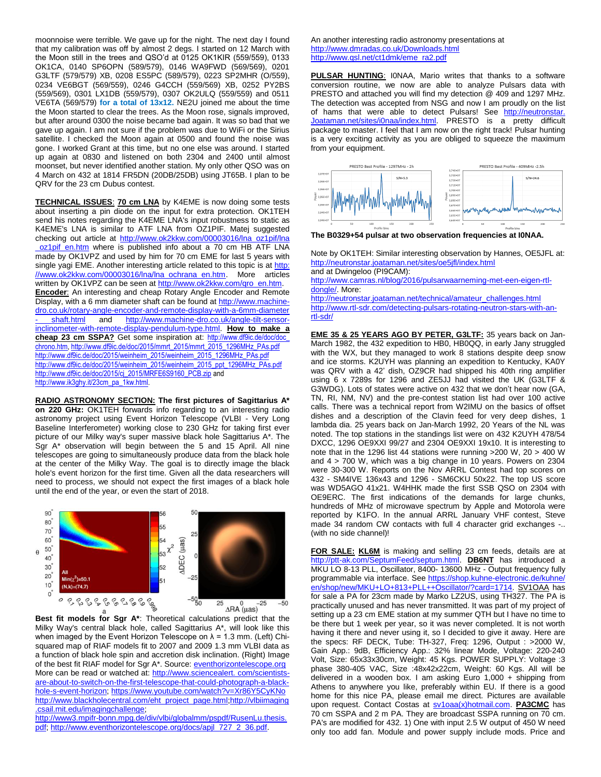moonnoise were terrible. We gave up for the night. The next day I found that my calibration was off by almost 2 degs. I started on 12 March with the Moon still in the trees and QSO'd at 0125 OK1KIR (559/559), 0133 OK1CA, 0140 SP6OPN (589/579), 0146 WA9FWD (569/569), 0201 G3LTF (579/579) XB, 0208 ES5PC (589/579), 0223 SP2MHR (O/559), 0234 VE6BGT (569/559), 0246 G4CCH (559/569) XB, 0252 PY2BS (559/569), 0301 LX1DB (559/579), 0307 OK2ULQ (559/559) and 0511 VE6TA (569/579) **for a total of 13x12.** NE2U joined me about the time the Moon started to clear the trees. As the Moon rose, signals improved, but after around 0300 the noise became bad again. It was so bad that we gave up again. I am not sure if the problem was due to WiFi or the Sirius satellite. I checked the Moon again at 0500 and found the noise was gone. I worked Grant at this time, but no one else was around. I started up again at 0830 and listened on both 2304 and 2400 until almost moonset, but never identified another station. My only other QSO was on 4 March on 432 at 1814 FR5DN (20DB/25DB) using JT65B. I plan to be QRV for the 23 cm Dubus contest.

**TECHNICAL ISSUES**: **70 cm LNA** by K4EME is now doing some tests about inserting a pin diode on the input for extra protection. OK1TEH send his notes regarding the K4EME LNA's input robustness to static as K4EME's LNA is similar to ATF LNA from OZ1PIF. Matej suggested checking out article at http://www.ok2kkw.com/00003016/lna\_oz1pif/lna oz1pif\_en.htm where is published info about a 70 cm HB ATF LNA made by OK1VPZ and used by him for 70 cm EME for last 5 years with single yagi EME. Another interesting article related to this topic is at [http:](http://www.ok2kkw.com/00003016/lna/lna_ochrana_en.htm) [//www.ok2kkw.com/00003016/lna/lna\\_ochrana\\_en.htm.](http://www.ok2kkw.com/00003016/lna/lna_ochrana_en.htm) More articles written by OK1VPZ can be seen at [http://www.ok2kkw.com/qro\\_en.htm.](http://www.ok2kkw.com/qro_en.htm) **Encoder**: An interesting and cheap Rotary Angle Encoder and Remote Display, with a 6 mm diameter shaft can be found at [http://www.machine](http://www.machine-dro.co.uk/rotary-angle-encoder-and-remote-display-with-a-6mm-diameter%20-%20shaft.html)[dro.co.uk/rotary-angle-encoder-and-remote-display-with-a-6mm-diameter](http://www.machine-dro.co.uk/rotary-angle-encoder-and-remote-display-with-a-6mm-diameter%20-%20shaft.html)  [shaft.html](http://www.machine-dro.co.uk/rotary-angle-encoder-and-remote-display-with-a-6mm-diameter%20-%20shaft.html) and [http://www.machine-dro.co.uk/angle-tilt-sensor](http://www.machine-dro.co.uk/angle-tilt-sensor-inclinometer-with-remote-display-pendulum-type.html)[inclinometer-with-remote-display-pendulum-type.html.](http://www.machine-dro.co.uk/angle-tilt-sensor-inclinometer-with-remote-display-pendulum-type.html) **How to make a cheap 23 cm SSPA?** Get some inspiration at: [http://www.df9ic.de/doc/doc\\_](http://www.df9ic.de/doc/doc_%20chrono.htm) [chrono.htm,](http://www.df9ic.de/doc/doc_%20chrono.htm) [http://www.df9ic.de/doc/2015/mmrt\\_2015/mmrt\\_2015\\_1296MHz\\_PAs.pdf](http://www.df9ic.de/doc/2015/mmrt_2015/mmrt_2015_1296MHz_PAs.pdf) [http://www.df9ic.de/doc/2015/weinheim\\_2015/weinheim\\_2015\\_1296MHz\\_PAs.pdf](http://www.df9ic.de/doc/2015/weinheim_2015/weinheim_2015_1296MHz_PAs.pdf) [http://www.df9ic.de/doc/2015/weinheim\\_2015/weinheim\\_2015\\_ppt\\_1296MHz\\_PAs.pdf](http://www.df9ic.de/doc/2015/weinheim_2015/weinheim_2015_ppt_1296MHz_PAs.pdf) [http://www.df9ic.de/doc/2015/cj\\_2015/MRFE6S9160\\_PCB.zip](http://www.df9ic.de/doc/2015/cj_2015/MRFE6S9160_PCB.zip) and [http://www.ik3ghy.it/23cm\\_pa\\_1kw.html.](http://www.ik3ghy.it/23cm_pa_1kw.html)

**RADIO ASTRONOMY SECTION: The first pictures of Sagittarius A\* on 220 GHz:** OK1TEH forwards info regarding to an interesting radio astronomy project using Event Horizon Telescope (VLBI - Very Long Baseline Interferometer) working close to 230 GHz for taking first ever picture of our Milky way's super massive black hole Sagittarius A\*. The Sgr A\* observation will begin between the 5 and 15 April. All nine telescopes are going to simultaneously produce data from the black hole at the center of the Milky Way. The goal is to directly image the black hole's event horizon for the first time. Given all the data researchers will need to process, we should not expect the first images of a black hole until the end of the year, or even the start of 2018.



**Best fit models for Sgr A\***: Theoretical calculations predict that the Milky Way's central black hole, called Sagittarius A\*, will look like this when imaged by the Event Horizon Telescope on  $\lambda$  = 1.3 mm. (Left) Chisquared map of RIAF models fit to 2007 and 2009 1.3 mm VLBI data as a function of black hole spin and accretion disk inclination. (Right) Image of the best fit RIAF model for Sgr A\*. Source[: eventhorizontelescope.org](http://www.eventhorizontelescope.org/science/physical_models.html) More can be read or watched at: http://www.sciencealert. com/scientistsare-about-to-switch-on-the-first-telescope-that-could-photograph-a-blackhole-s-event-horizon[; https://www.youtube.com/watch?v=Xr86Y5CyKNo](https://www.youtube.com/watch?v=Xr86Y5CyKNo) [http://www.blackholecentral.com/eht\\_project\\_page.html](http://www.blackholecentral.com/eht_project_page.html)[;http://vlbiimaging](http://vlbiimaging.csail.mit.edu/imagingchallenge) [.csail.mit.edu/imagingchallenge;](http://vlbiimaging.csail.mit.edu/imagingchallenge)

[http://www3.mpifr-bonn.mpg.de/div/vlbi/globalmm/pspdf/RusenLu.thesis.](http://www3.mpifr-bonn.mpg.de/div/vlbi/globalmm/pspdf/RusenLu.thesis.%20pdf) [pdf;](http://www3.mpifr-bonn.mpg.de/div/vlbi/globalmm/pspdf/RusenLu.thesis.%20pdf) [http://www.eventhorizontelescope.org/docs/apjl\\_727\\_2\\_36.pdf.](http://www.eventhorizontelescope.org/docs/apjl_727_2_36.pdf)

An another interesting radio astronomy presentations at <http://www.dmradas.co.uk/Downloads.html> [http://www.qsl.net/ct1dmk/eme\\_ra2.pdf](http://www.qsl.net/ct1dmk/eme_ra2.pdf)

**PULSAR HUNTING**: I0NAA, Mario writes that thanks to a software conversion routine, we now are able to analyze Pulsars data with PRESTO and attached you will find my detection @ 409 and 1297 MHz. The detection was accepted from NSG and now I am proudly on the list of hams that were able to detect Pulsars! See http://neutronstar. Joataman.net/sites/i0naa/index.html. PRESTO is a pretty difficult package to master. I feel that I am now on the right track! Pulsar hunting is a very exciting activity as you are obliged to squeeze the maximum from your equipment.



**The B0329+54 pulsar at two observation frequencies at I0NAA.**

Note by OK1TEH: Similar interesting observation by Hannes, OE5JFL at: <http://neutronstar.joataman.net/sites/oe5jfl/index.html> and at Dwingeloo (PI9CAM):

[http://www.camras.nl/blog/2016/pulsarwaarneming-met-een-eigen-rtl](http://www.camras.nl/blog/2016/pulsarwaarneming-met-een-eigen-rtl-dongle/)[dongle/.](http://www.camras.nl/blog/2016/pulsarwaarneming-met-een-eigen-rtl-dongle/) More:

[http://neutronstar.joataman.net/technical/amateur\\_challenges.html](http://neutronstar.joataman.net/technical/amateur_challenges.html) [http://www.rtl-sdr.com/detecting-pulsars-rotating-neutron-stars-with-an](http://www.rtl-sdr.com/detecting-pulsars-rotating-neutron-stars-with-an-rtl-sdr/)[rtl-sdr/](http://www.rtl-sdr.com/detecting-pulsars-rotating-neutron-stars-with-an-rtl-sdr/)

**EME 35 & 25 YEARS AGO BY PETER, G3LTF:** 35 years back on Jan-March 1982, the 432 expedition to HB0, HB0QQ, in early Jany struggled with the WX, but they managed to work 8 stations despite deep snow and ice storms. K2UYH was planning an expedition to Kentucky, KA0Y was QRV with a 42' dish, OZ9CR had shipped his 40th ring amplifier using 6 x 7289s for 1296 and ZE5JJ had visited the UK (G3LTF & G3WDG). Lots of states were active on 432 that we don't hear now (GA, TN, RI, NM, NV) and the pre-contest station list had over 100 active calls. There was a technical report from W2IMU on the basics of offset dishes and a description of the Clavin feed for very deep dishes, 1 lambda dia. 25 years back on Jan-March 1992, 20 Years of the NL was noted. The top stations in the standings list were on 432 K2UYH 478/54 DXCC, 1296 OE9XXI 99/27 and 2304 OE9XXI 19x10. It is interesting to note that in the 1296 list 44 stations were running >200 W, 20 > 400 W and 4 > 700 W, which was a big change in 10 years. Powers on 2304 were 30-300 W. Reports on the Nov ARRL Contest had top scores on 432 - SM4IVE 136x43 and 1296 - SM6CKU 50x22. The top US score was WD5AGO 41x21. W4HHK made the first SSB QSO on 2304 with OE9ERC. The first indications of the demands for large chunks, hundreds of MHz of microwave spectrum by Apple and Motorola were reported by K1FO. In the annual ARRL January VHF contest, Steve made 34 random CW contacts with full 4 character grid exchanges -.. (with no side channel)!

**FOR SALE: KL6M** is making and selling 23 cm feeds, details are at [http://ptt-ak.com/SeptumFeed/septum.html.](http://ptt-ak.com/SeptumFeed/septum.html) **DB6NT** has introduced a MKU LO 8-13 PLL, Oscillator, 8400- 13600 MHz - Output frequency fully programmable via interface. See [https://shop.kuhne-electronic.de/kuhne/](https://shop.kuhne-electronic.de/kuhne/%20en/shop/new/MKU+LO+813+PLL++Oscillator/?card=1714)  [en/shop/new/MKU+LO+813+PLL++Oscillator/?card=1714.](https://shop.kuhne-electronic.de/kuhne/%20en/shop/new/MKU+LO+813+PLL++Oscillator/?card=1714) SV1OAA has for sale a PA for 23cm made by Marko LZ2US, using TH327. The PA is practically unused and has never transmitted. It was part of my project of setting up a 23 cm EME station at my summer QTH but I have no time to be there but 1 week per year, so it was never completed. It is not worth having it there and never using it, so I decided to give it away. Here are the specs: RF DECK, Tube: TH-327, Freq: 1296, Output : >2000 W, Gain App.: 9dB, Efficiency App.: 32% linear Mode, Voltage: 220-240 Volt, Size: 65x33x30cm, Weight: 45 Kgs. POWER SUPPLY: Voltage :3 phase 380-405 VAC, Size :48x42x22cm, Weight: 60 Kgs. All will be delivered in a wooden box. I am asking Euro 1,000 + shipping from Athens to anywhere you like, preferably within EU. If there is a good home for this nice PA, please email me direct. Pictures are available upon request. Contact Costas at [sv1oaa\(x\)hotmail.com.](mailto:sv1oaa(x)hotmail.com) **PA3CMC** has 70 cm SSPA and 2 m PA. They are broadcast SSPA running on 70 cm. PA's are modified for 432. 1) One with input 2.5 W output of 450 W need only too add fan. Module and power supply include mods. Price and